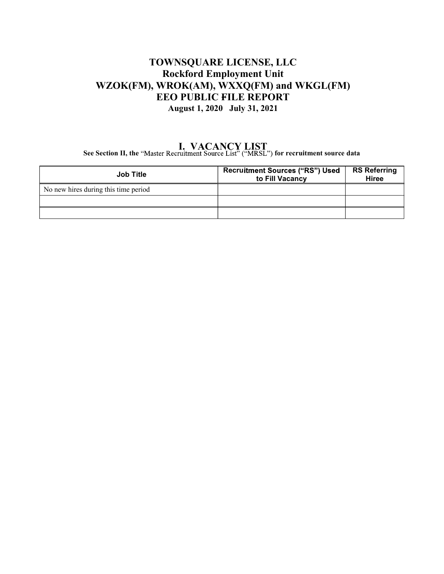#### TOWNSQUARE LICENSE, LLC **Rockford Employment Unit** WZOK(FM), WROK(AM), WXXQ(FM) and WKGL(FM) EEO PUBLIC FILE REPORT August 1, 2020 July 31, 2021

## **I. VACANCY LIST**<br>See Section II, the "Master Recruitment Source List" ("MRSL") for recruitment source data

| <b>Job Title</b>                     | <b>Recruitment Sources ("RS") Used</b><br>to Fill Vacancy | <b>RS Referring</b><br><b>Hiree</b> |
|--------------------------------------|-----------------------------------------------------------|-------------------------------------|
| No new hires during this time period |                                                           |                                     |
|                                      |                                                           |                                     |
|                                      |                                                           |                                     |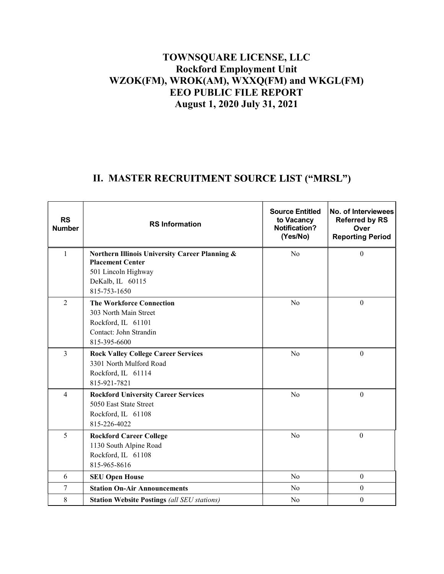### **TOWNSQUARE LICENSE, LLC Rockford Employment Unit WZOK(FM), WROK(AM), WXXQ(FM) and WKGL(FM) EEO PUBLIC FILE REPORT August 1, 2020 July 31, 2021**

## II. MASTER RECRUITMENT SOURCE LIST ("MRSL")

| <b>RS</b><br><b>Number</b> | <b>RS Information</b>                                                                                                                | <b>Source Entitled</b><br>to Vacancy<br><b>Notification?</b><br>(Yes/No) | No. of Interviewees<br><b>Referred by RS</b><br>Over<br><b>Reporting Period</b> |
|----------------------------|--------------------------------------------------------------------------------------------------------------------------------------|--------------------------------------------------------------------------|---------------------------------------------------------------------------------|
| $\mathbf{1}$               | Northern Illinois University Career Planning &<br><b>Placement Center</b><br>501 Lincoln Highway<br>DeKalb, IL 60115<br>815-753-1650 | No                                                                       | $\mathbf{0}$                                                                    |
| $\overline{2}$             | <b>The Workforce Connection</b><br>303 North Main Street<br>Rockford, IL 61101<br>Contact: John Strandin<br>815-395-6600             | No                                                                       | $\boldsymbol{0}$                                                                |
| $\overline{3}$             | <b>Rock Valley College Career Services</b><br>3301 North Mulford Road<br>Rockford, IL 61114<br>815-921-7821                          | No                                                                       | $\boldsymbol{0}$                                                                |
| $\overline{4}$             | <b>Rockford University Career Services</b><br>5050 East State Street<br>Rockford, IL 61108<br>815-226-4022                           | No                                                                       | $\boldsymbol{0}$                                                                |
| 5                          | <b>Rockford Career College</b><br>1130 South Alpine Road<br>Rockford, IL 61108<br>815-965-8616                                       | No                                                                       | $\boldsymbol{0}$                                                                |
| 6                          | <b>SEU Open House</b>                                                                                                                | N <sub>o</sub>                                                           | $\boldsymbol{0}$                                                                |
| $\overline{7}$             | <b>Station On-Air Announcements</b>                                                                                                  | N <sub>o</sub>                                                           | $\boldsymbol{0}$                                                                |
| 8                          | <b>Station Website Postings (all SEU stations)</b>                                                                                   | No                                                                       | $\boldsymbol{0}$                                                                |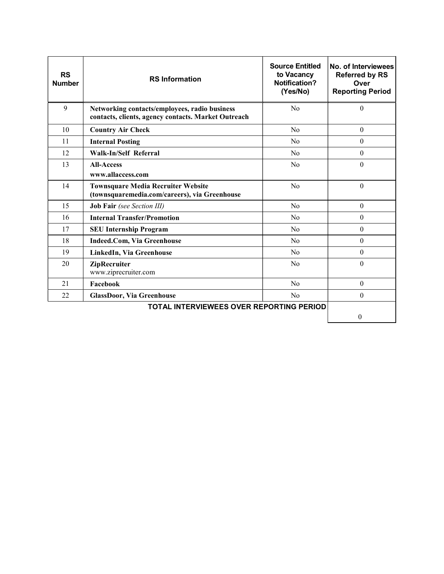| <b>RS</b><br><b>Number</b>                      | <b>RS Information</b>                                                                                | <b>Source Entitled</b><br>to Vacancy<br>Notification?<br>(Yes/No) | No. of Interviewees<br><b>Referred by RS</b><br>Over<br><b>Reporting Period</b> |
|-------------------------------------------------|------------------------------------------------------------------------------------------------------|-------------------------------------------------------------------|---------------------------------------------------------------------------------|
| 9                                               | Networking contacts/employees, radio business<br>contacts, clients, agency contacts. Market Outreach | No                                                                | $\mathbf{0}$                                                                    |
| 10                                              | <b>Country Air Check</b>                                                                             | N <sub>0</sub>                                                    | $\theta$                                                                        |
| 11                                              | <b>Internal Posting</b>                                                                              | No                                                                | $\theta$                                                                        |
| 12                                              | Walk-In/Self Referral                                                                                | N <sub>0</sub>                                                    | $\theta$                                                                        |
| 13                                              | <b>All-Access</b><br>www.allaccess.com                                                               | N <sub>0</sub>                                                    | $\theta$                                                                        |
| 14                                              | <b>Townsquare Media Recruiter Website</b><br>(townsquaremedia.com/careers), via Greenhouse           | No                                                                | $\theta$                                                                        |
| 15                                              | <b>Job Fair</b> (see Section III)                                                                    | No                                                                | $\theta$                                                                        |
| 16                                              | <b>Internal Transfer/Promotion</b>                                                                   | No                                                                | $\theta$                                                                        |
| 17                                              | <b>SEU Internship Program</b>                                                                        | No                                                                | $\Omega$                                                                        |
| 18                                              | <b>Indeed.Com, Via Greenhouse</b>                                                                    | N <sub>o</sub>                                                    | $\mathbf{0}$                                                                    |
| 19                                              | LinkedIn, Via Greenhouse                                                                             | No                                                                | $\theta$                                                                        |
| 20                                              | ZipRecruiter<br>www.ziprecruiter.com                                                                 | No                                                                | $\Omega$                                                                        |
| 21                                              | Facebook                                                                                             | No                                                                | $\theta$                                                                        |
| 22                                              | <b>GlassDoor, Via Greenhouse</b>                                                                     | N <sub>o</sub>                                                    | $\theta$                                                                        |
| <b>TOTAL INTERVIEWEES OVER REPORTING PERIOD</b> |                                                                                                      |                                                                   |                                                                                 |
|                                                 |                                                                                                      |                                                                   | $\theta$                                                                        |